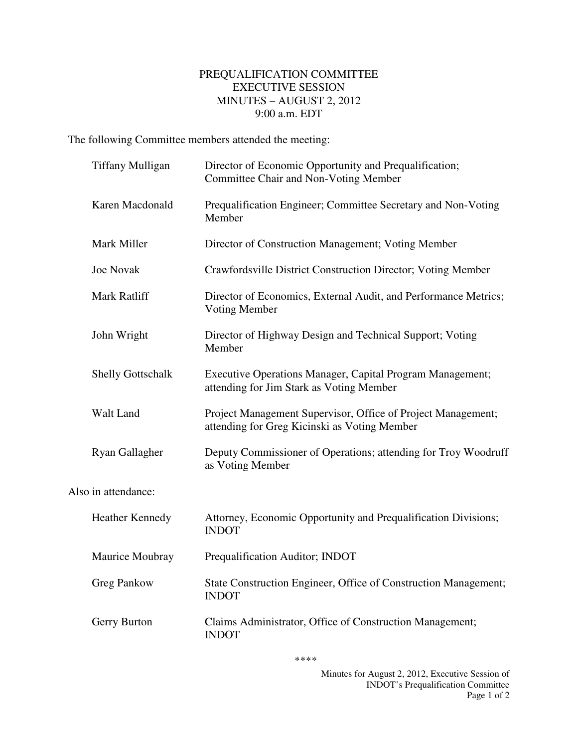## PREQUALIFICATION COMMITTEE EXECUTIVE SESSION MINUTES – AUGUST 2, 2012 9:00 a.m. EDT

The following Committee members attended the meeting:

|                     | <b>Tiffany Mulligan</b>  | Director of Economic Opportunity and Prequalification;<br>Committee Chair and Non-Voting Member              |
|---------------------|--------------------------|--------------------------------------------------------------------------------------------------------------|
|                     | Karen Macdonald          | Prequalification Engineer; Committee Secretary and Non-Voting<br>Member                                      |
|                     | Mark Miller              | Director of Construction Management; Voting Member                                                           |
|                     | <b>Joe Novak</b>         | Crawfordsville District Construction Director; Voting Member                                                 |
|                     | <b>Mark Ratliff</b>      | Director of Economics, External Audit, and Performance Metrics;<br>Voting Member                             |
|                     | John Wright              | Director of Highway Design and Technical Support; Voting<br>Member                                           |
|                     | <b>Shelly Gottschalk</b> | Executive Operations Manager, Capital Program Management;<br>attending for Jim Stark as Voting Member        |
|                     | Walt Land                | Project Management Supervisor, Office of Project Management;<br>attending for Greg Kicinski as Voting Member |
|                     | Ryan Gallagher           | Deputy Commissioner of Operations; attending for Troy Woodruff<br>as Voting Member                           |
| Also in attendance: |                          |                                                                                                              |
|                     | <b>Heather Kennedy</b>   | Attorney, Economic Opportunity and Prequalification Divisions;<br><b>INDOT</b>                               |
|                     | Maurice Moubray          | Prequalification Auditor; INDOT                                                                              |
|                     | <b>Greg Pankow</b>       | State Construction Engineer, Office of Construction Management;<br><b>INDOT</b>                              |
|                     | Gerry Burton             | Claims Administrator, Office of Construction Management;<br><b>INDOT</b>                                     |

\*\*\*\*